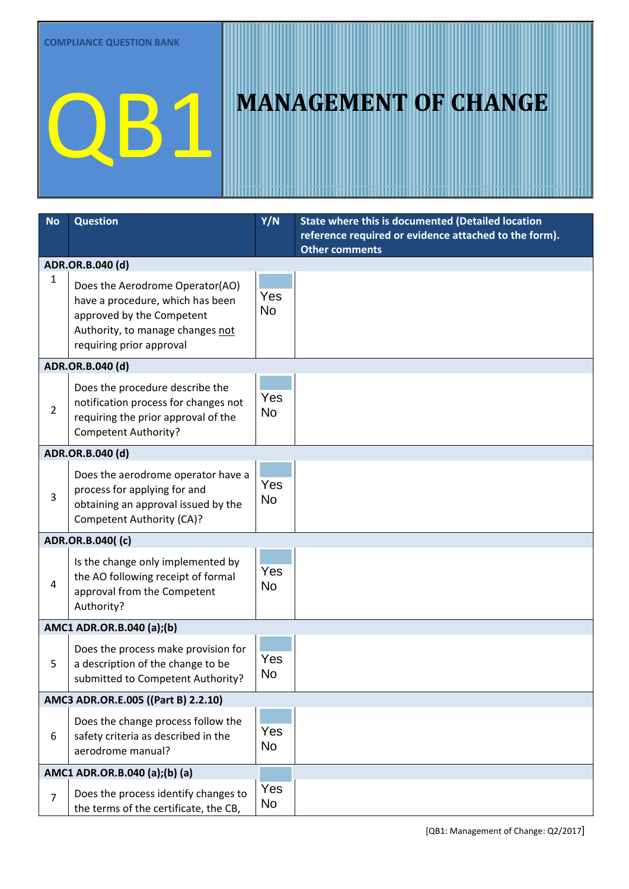### QB1 MANAGEMENT OF CHANGE

| No                                  | <b>Question</b>                                                           | Y/N              | State where this is documented (Detailed location                              |  |  |
|-------------------------------------|---------------------------------------------------------------------------|------------------|--------------------------------------------------------------------------------|--|--|
|                                     |                                                                           |                  | reference required or evidence attached to the form).<br><b>Other comments</b> |  |  |
|                                     | ADR.OR.B.040 (d)                                                          |                  |                                                                                |  |  |
| 1                                   | Does the Aerodrome Operator(AO)                                           |                  |                                                                                |  |  |
|                                     | have a procedure, which has been                                          | Yes              |                                                                                |  |  |
|                                     | approved by the Competent                                                 | <b>No</b>        |                                                                                |  |  |
|                                     | Authority, to manage changes not<br>requiring prior approval              |                  |                                                                                |  |  |
|                                     | ADR.OR.B.040 (d)                                                          |                  |                                                                                |  |  |
|                                     |                                                                           |                  |                                                                                |  |  |
|                                     | Does the procedure describe the<br>notification process for changes not   | Yes              |                                                                                |  |  |
| $\overline{2}$                      | requiring the prior approval of the                                       | <b>No</b>        |                                                                                |  |  |
|                                     | <b>Competent Authority?</b>                                               |                  |                                                                                |  |  |
| ADR.OR.B.040 (d)                    |                                                                           |                  |                                                                                |  |  |
|                                     | Does the aerodrome operator have a                                        |                  |                                                                                |  |  |
| 3                                   | process for applying for and                                              | Yes              |                                                                                |  |  |
|                                     | obtaining an approval issued by the                                       | <b>No</b>        |                                                                                |  |  |
|                                     | <b>Competent Authority (CA)?</b>                                          |                  |                                                                                |  |  |
|                                     | ADR.OR.B.040((c)                                                          |                  |                                                                                |  |  |
|                                     | Is the change only implemented by                                         | Yes<br><b>No</b> |                                                                                |  |  |
| 4                                   | the AO following receipt of formal                                        |                  |                                                                                |  |  |
|                                     | approval from the Competent<br>Authority?                                 |                  |                                                                                |  |  |
|                                     |                                                                           |                  |                                                                                |  |  |
|                                     | AMC1 ADR.OR.B.040 (a);(b)                                                 |                  |                                                                                |  |  |
|                                     | Does the process make provision for                                       | Yes              |                                                                                |  |  |
| 5                                   | a description of the change to be<br>submitted to Competent Authority?    | No               |                                                                                |  |  |
| AMC3 ADR.OR.E.005 ((Part B) 2.2.10) |                                                                           |                  |                                                                                |  |  |
|                                     |                                                                           |                  |                                                                                |  |  |
| 6                                   | Does the change process follow the<br>safety criteria as described in the | Yes<br><b>No</b> |                                                                                |  |  |
|                                     | aerodrome manual?                                                         |                  |                                                                                |  |  |
|                                     | AMC1 ADR.OR.B.040 (a);(b) (a)                                             |                  |                                                                                |  |  |
|                                     | Does the process identify changes to                                      | Yes              |                                                                                |  |  |
| $\overline{7}$                      | the terms of the certificate, the CB,                                     | No               |                                                                                |  |  |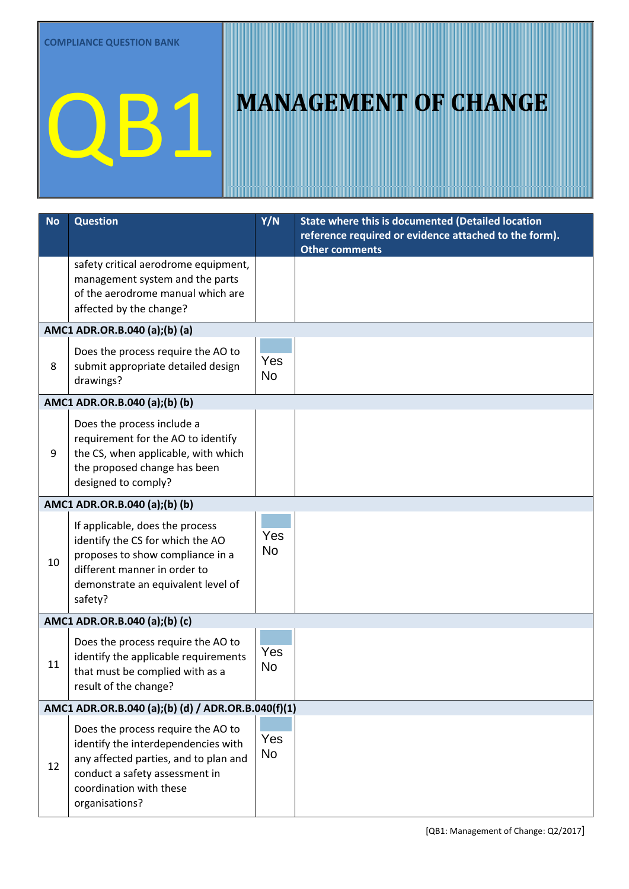# **QB1** MANAGEMENT OF CHANGE

| <b>No</b> | <b>Question</b>                                                                                                                                                                                   | Y/N              | State where this is documented (Detailed location<br>reference required or evidence attached to the form).<br><b>Other comments</b> |  |  |  |
|-----------|---------------------------------------------------------------------------------------------------------------------------------------------------------------------------------------------------|------------------|-------------------------------------------------------------------------------------------------------------------------------------|--|--|--|
|           | safety critical aerodrome equipment,<br>management system and the parts<br>of the aerodrome manual which are<br>affected by the change?                                                           |                  |                                                                                                                                     |  |  |  |
|           | AMC1 ADR.OR.B.040 (a);(b) (a)                                                                                                                                                                     |                  |                                                                                                                                     |  |  |  |
| 8         | Does the process require the AO to<br>submit appropriate detailed design<br>drawings?                                                                                                             | Yes<br><b>No</b> |                                                                                                                                     |  |  |  |
|           | AMC1 ADR.OR.B.040 (a);(b) (b)                                                                                                                                                                     |                  |                                                                                                                                     |  |  |  |
| 9         | Does the process include a<br>requirement for the AO to identify<br>the CS, when applicable, with which<br>the proposed change has been<br>designed to comply?                                    | Yes<br><b>No</b> |                                                                                                                                     |  |  |  |
|           | AMC1 ADR.OR.B.040 (a);(b) (b)                                                                                                                                                                     |                  |                                                                                                                                     |  |  |  |
| 10        | If applicable, does the process<br>identify the CS for which the AO<br>proposes to show compliance in a<br>different manner in order to<br>demonstrate an equivalent level of<br>safety?          | Yes<br><b>No</b> |                                                                                                                                     |  |  |  |
|           | AMC1 ADR.OR.B.040 (a);(b) (c)                                                                                                                                                                     |                  |                                                                                                                                     |  |  |  |
| 11        | Does the process require the AO to<br>identify the applicable requirements<br>that must be complied with as a<br>result of the change?                                                            | Yes<br><b>No</b> |                                                                                                                                     |  |  |  |
|           | AMC1 ADR.OR.B.040 (a);(b) (d) / ADR.OR.B.040(f)(1)                                                                                                                                                |                  |                                                                                                                                     |  |  |  |
| 12        | Does the process require the AO to<br>identify the interdependencies with<br>any affected parties, and to plan and<br>conduct a safety assessment in<br>coordination with these<br>organisations? | Yes<br><b>No</b> |                                                                                                                                     |  |  |  |